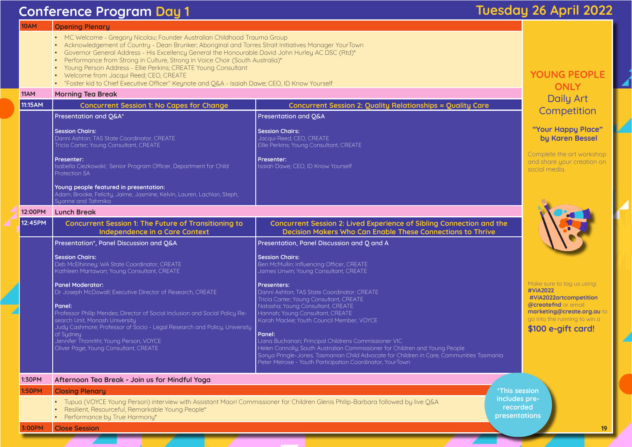# **Conference Program Day 1 Conference Program Day 1**

| <b>10AM</b>   | <b>Opening Plenary</b>                                                                                                                                                                                                                                                                                                                                                                                                                                                                                                                                                        |                                                                                                                                                                                                                                                                                                                                                                                                                                                                                                                                           |  |  |
|---------------|-------------------------------------------------------------------------------------------------------------------------------------------------------------------------------------------------------------------------------------------------------------------------------------------------------------------------------------------------------------------------------------------------------------------------------------------------------------------------------------------------------------------------------------------------------------------------------|-------------------------------------------------------------------------------------------------------------------------------------------------------------------------------------------------------------------------------------------------------------------------------------------------------------------------------------------------------------------------------------------------------------------------------------------------------------------------------------------------------------------------------------------|--|--|
|               | MC Welcome - Gregory Nicolau; Founder Australian Childhood Trauma Group<br>Acknowledgement of Country - Dean Brunker; Aboriginal and Torres Strait Initiatives Manager YourTown<br>Governor General Address - His Excellency General the Honourable David John Hurley AC DSC (Rtd)*<br>Performance from Strong in Culture, Strong in Voice Choir (South Australia)*<br>Young Person Address - Ellie Perkins; CREATE Young Consultant<br>Welcome from Jacqui Reed; CEO, CREATE<br>"Foster kid to Chief Executive Officer" Keynote and Q&A - Isaiah Dawe; CEO, ID Know Yourself |                                                                                                                                                                                                                                                                                                                                                                                                                                                                                                                                           |  |  |
| 11AM          | <b>Morning Tea Break</b>                                                                                                                                                                                                                                                                                                                                                                                                                                                                                                                                                      |                                                                                                                                                                                                                                                                                                                                                                                                                                                                                                                                           |  |  |
| 11:15AM       | <b>Concurrent Session 1: No Capes for Change</b>                                                                                                                                                                                                                                                                                                                                                                                                                                                                                                                              | <b>Concurrent Session 2: Quality Relationships = Quality Care</b>                                                                                                                                                                                                                                                                                                                                                                                                                                                                         |  |  |
|               | Presentation and Q&A*                                                                                                                                                                                                                                                                                                                                                                                                                                                                                                                                                         | Presentation and Q&A                                                                                                                                                                                                                                                                                                                                                                                                                                                                                                                      |  |  |
|               | <b>Session Chairs:</b><br>Danni Ashton; TAS State Coordinator, CREATE<br>Tricia Carter; Young Consultant, CREATE<br><b>Presenter:</b><br>Isabella Ciezkowski; Senior Program Officer, Department for Child                                                                                                                                                                                                                                                                                                                                                                    | <b>Session Chairs:</b><br>Jacqui Reed; CEO, CREATE<br>Ellie Perkins; Young Consultant, CREATE<br>Presenter:<br>Isaiah Dawe; CEO, ID Know Yourself                                                                                                                                                                                                                                                                                                                                                                                         |  |  |
|               | <b>Protection SA</b><br>Young people featured in presentation:<br>Adam, Brooke, Felicity, Jaime, Jasmine, Kelvin, Lauren, Lachlan, Steph,<br>Syanne and Tahmika                                                                                                                                                                                                                                                                                                                                                                                                               |                                                                                                                                                                                                                                                                                                                                                                                                                                                                                                                                           |  |  |
| 12:00PM       | <b>Lunch Break</b>                                                                                                                                                                                                                                                                                                                                                                                                                                                                                                                                                            |                                                                                                                                                                                                                                                                                                                                                                                                                                                                                                                                           |  |  |
| 12:45PM       | <b>Concurrent Session 1: The Future of Transitioning to</b><br>Independence in a Care Context                                                                                                                                                                                                                                                                                                                                                                                                                                                                                 | <b>Concurrent Session 2: Lived Experience of Sibling Connection and</b><br><b>Decision Makers Who Can Enable These Connections to Thrive</b>                                                                                                                                                                                                                                                                                                                                                                                              |  |  |
|               | Presentation*, Panel Discussion and Q&A                                                                                                                                                                                                                                                                                                                                                                                                                                                                                                                                       | Presentation, Panel Discussion and Q and A                                                                                                                                                                                                                                                                                                                                                                                                                                                                                                |  |  |
|               | <b>Session Chairs:</b><br>Deb McElhinney; WA State Coordinator, CREATE<br>Kathleen Martawan; Young Consultant, CREATE                                                                                                                                                                                                                                                                                                                                                                                                                                                         | <b>Session Chairs:</b><br>Ben McMullin; Influencing Officer, CREATE<br>James Unwin; Young Consultant, CREATE                                                                                                                                                                                                                                                                                                                                                                                                                              |  |  |
|               | <b>Panel Moderator:</b><br>Dr Joseph McDowall; Executive Director of Research, CREATE<br>Panel:<br>Professor Philip Mendes; Director of Social Inclusion and Social Policy Re-<br>search Unit, Monash University<br>Judy Cashmore; Professor of Socio - Legal Research and Policy, University<br>of Sydney<br>Jennifer Thonrithi; Young Person, VOYCE<br>Oliver Page; Young Consultant, CREATE                                                                                                                                                                                | <b>Presenters:</b><br>Danni Ashton; TAS State Coordinator, CREATE<br>Tricia Carter; Young Consultant, CREATE<br>Natasha; Young Consultant, CREATE<br>Hannah; Young Consultant, CREATE<br>Karah Mackie; Youth Council Member, VOYCE<br>Panel:<br>Liana Buchanan; Principal Childrens Commissioner VIC<br>Helen Connolly; South Australian Commissioner for Children and Young People<br>Sonya Pringle-Jones, Tasmanian Child Advocate for Children in Care, Communities Tasma<br>Peter Melrose - Youth Participation Coordinator, YourTown |  |  |
| 1:30PM        | Afternoon Tea Break - Join us for Mindful Yoga                                                                                                                                                                                                                                                                                                                                                                                                                                                                                                                                |                                                                                                                                                                                                                                                                                                                                                                                                                                                                                                                                           |  |  |
| <b>1:50PM</b> | <b>Closing Plenary</b>                                                                                                                                                                                                                                                                                                                                                                                                                                                                                                                                                        |                                                                                                                                                                                                                                                                                                                                                                                                                                                                                                                                           |  |  |
|               | Tupua (VOYCE Young Person) interview with Assistant Maori Commissioner for Children Glenis Philip-Barbara followed by live Q&A<br>Resilient, Resourceful, Remarkable Young People*<br>Performance by True Harmony*                                                                                                                                                                                                                                                                                                                                                            |                                                                                                                                                                                                                                                                                                                                                                                                                                                                                                                                           |  |  |
| 3:00PM        | <b>Close Session</b>                                                                                                                                                                                                                                                                                                                                                                                                                                                                                                                                                          |                                                                                                                                                                                                                                                                                                                                                                                                                                                                                                                                           |  |  |

# cond the

# **YOUNG PEOPLE ONLY**  Daily Art **Competition**

## **"Your Happy Place" by Karen Bessel**

Complete the art workshop and share your creation on social media.



### Make sure to tag us using: **#ViA2022 #ViA2022artcompetition @createfnd** or email **marketing@create.org.au** to go into the running to win a **\$100 e-gift card!**

Tasmania

**\*This session includes prerecorded presentations**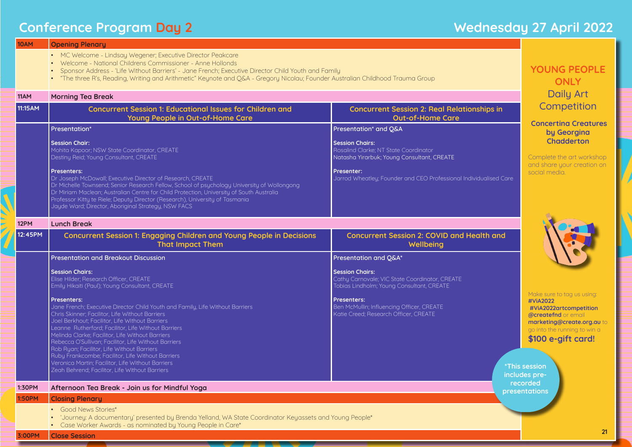# **Conference Program Day 2 Manual 2022 Wednesday 27 April 2022**

N

| 10AM          | <b>Opening Plenary</b>                                                                                                                                                                                                                                                                                                                                                                                                                                                                                                                                                                 |                                                                                                                       |  |  |  |
|---------------|----------------------------------------------------------------------------------------------------------------------------------------------------------------------------------------------------------------------------------------------------------------------------------------------------------------------------------------------------------------------------------------------------------------------------------------------------------------------------------------------------------------------------------------------------------------------------------------|-----------------------------------------------------------------------------------------------------------------------|--|--|--|
|               | • MC Welcome - Lindsay Wegener; Executive Director Peakcare<br>Welcome - National Childrens Commissioner - Anne Hollonds<br>Sponsor Address - 'Life Without Barriers' - Jane French; Executive Director Child Youth and Family<br>"The three R's, Reading, Writing and Arithmetic" Keynote and Q&A - Gregory Nicolau; Founder Australian Childhood Trauma Group                                                                                                                                                                                                                        |                                                                                                                       |  |  |  |
| 11AM          | <b>Morning Tea Break</b>                                                                                                                                                                                                                                                                                                                                                                                                                                                                                                                                                               |                                                                                                                       |  |  |  |
| 11:15AM       | <b>Concurrent Session 1: Educational Issues for Children and</b><br>Young People in Out-of-Home Care                                                                                                                                                                                                                                                                                                                                                                                                                                                                                   | <b>Concurrent Session 2: Real Relations</b><br><b>Out-of-Home Care</b>                                                |  |  |  |
|               | Presentation*                                                                                                                                                                                                                                                                                                                                                                                                                                                                                                                                                                          | Presentation* and Q&A                                                                                                 |  |  |  |
|               | <b>Session Chair:</b><br>Mohita Kapoor; NSW State Coordinator, CREATE<br>Destiny Reid; Young Consultant, CREATE                                                                                                                                                                                                                                                                                                                                                                                                                                                                        | <b>Session Chairs:</b><br>Rosalind Clarke; NT State Coordinator<br>Natasha Yirarbuk; Young Consultant, CREATE         |  |  |  |
|               | <b>Presenters:</b><br>Dr Joseph McDowall; Executive Director of Research, CREATE<br>Dr Michelle Townsend; Senior Research Fellow, School of psychology University of Wollongong<br>Dr Miriam Maclean; Australian Centre for Child Protection, University of South Australia<br>Professor Kitty te Riele; Deputy Director (Research), University of Tasmania<br>Jayde Ward; Director, Aboriginal Strategy, NSW FACS                                                                                                                                                                     | Presenter:<br>Jarrod Wheatley; Founder and CEO Professional Individ                                                   |  |  |  |
| 12PM          | <b>Lunch Break</b>                                                                                                                                                                                                                                                                                                                                                                                                                                                                                                                                                                     |                                                                                                                       |  |  |  |
| 12:45PM       | <b>Concurrent Session 1: Engaging Children and Young People in Decisions</b><br><b>That Impact Them</b>                                                                                                                                                                                                                                                                                                                                                                                                                                                                                | <b>Concurrent Session 2: COVID and Hea</b><br>Wellbeing                                                               |  |  |  |
|               | <b>Presentation and Breakout Discussion</b>                                                                                                                                                                                                                                                                                                                                                                                                                                                                                                                                            | Presentation and Q&A*                                                                                                 |  |  |  |
|               | <b>Session Chairs:</b><br>Elise Hilder; Research Officer, CREATE<br>Emily Hikaiti (Paul); Young Consultant, CREATE                                                                                                                                                                                                                                                                                                                                                                                                                                                                     | <b>Session Chairs:</b><br>Cathy Carnovale; VIC State Coordinator, CREATE<br>Tobias Lindholm; Young Consultant, CREATE |  |  |  |
|               | <b>Presenters:</b><br>Jane French; Executive Director Child Youth and Family, Life Without Barriers<br>Chris Skinner; Facilitor, Life Without Barriers<br>Joel Berkhout; Facilitor, Life Without Barriers<br>Leanne Rutherford; Facilitor, Life Without Barriers<br>Melinda Clarke; Facilitor, Life Without Barriers<br>Rebecca O'Sullivan; Facilitor, Life Without Barriers<br>Rob Ryan; Facilitor, Life Without Barriers<br>Ruby Frankcombe; Facilitor, Life Without Barriers<br>Veronica Martin; Facilitor, Life Without Barriers<br>Zeah Behrend; Facilitor, Life Without Barriers | <b>Presenters:</b><br>Ben McMullin; Influencing Officer, CREATE<br>Katie Creed; Research Officer, CREATE              |  |  |  |
| 1:30PM        | Afternoon Tea Break - Join us for Mindful Yoga                                                                                                                                                                                                                                                                                                                                                                                                                                                                                                                                         |                                                                                                                       |  |  |  |
| <b>1:50PM</b> | <b>Closing Plenary</b>                                                                                                                                                                                                                                                                                                                                                                                                                                                                                                                                                                 |                                                                                                                       |  |  |  |
|               | <b>Good News Stories*</b><br>'Journey: A documentary' presented by Brenda Yelland, WA State Coordinator Keyassets and Young People*<br>Case Worker Awards - as nominated by Young People in Care*                                                                                                                                                                                                                                                                                                                                                                                      |                                                                                                                       |  |  |  |
| 3:00PM        | <b>Close Session</b>                                                                                                                                                                                                                                                                                                                                                                                                                                                                                                                                                                   |                                                                                                                       |  |  |  |

### h<mark>ips in</mark>

Ualised Care

## Ith and

**YOUNG PEOPLE ONLY**  Daily Art **Competition** 

**\*This session includes prerecorded presentations**

 **Concertina Creatures by Georgina Chadderton**

Complete the art workshop and share your creation on social media.



Make sure to tag us using: **#ViA2022 #ViA2022artcompetition @createfnd** or email **marketing@create.org.au** to go into the running to win a **\$100 e-gift card!**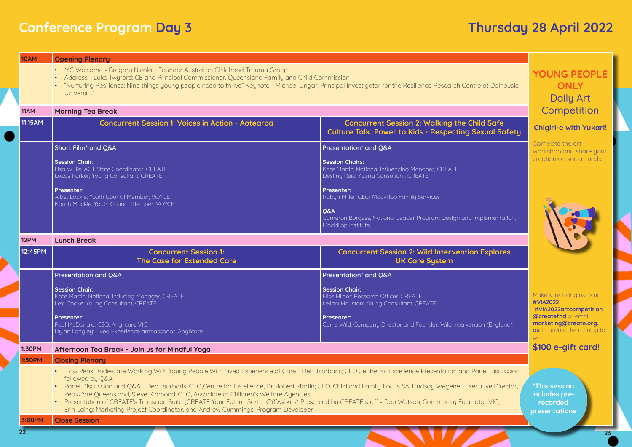# **Culture Talk: Power to Kids - Respecting Sexual Safety**

### Explores

# **YOUNG PEOPLE ONLY**  Daily Art **Competition**

# **Conference Program Day 3 Thursday 28 April 2022**

| <b>10AM</b>   | <b>Opening Plenary</b>                                                                                                                                                                                                                                                                                                                                                                                                                                                                                                                                                                                                                                                             |                                                                                                                       |                                                                                                                        |
|---------------|------------------------------------------------------------------------------------------------------------------------------------------------------------------------------------------------------------------------------------------------------------------------------------------------------------------------------------------------------------------------------------------------------------------------------------------------------------------------------------------------------------------------------------------------------------------------------------------------------------------------------------------------------------------------------------|-----------------------------------------------------------------------------------------------------------------------|------------------------------------------------------------------------------------------------------------------------|
|               | • MC Welcome - Gregory Nicolau; Founder Australian Childhood Trauma Group<br>Address - Luke Twyford; CE and Principal Commissioner, Queensland Family and Child Commission<br>• "Nurturing Resilience: Nine things young people need to thrive" Keynote - Michael Ungar; Principal Investigator for the Resilience Research Centre at Dalhousie<br>University*                                                                                                                                                                                                                                                                                                                     |                                                                                                                       |                                                                                                                        |
| 11AM          | <b>Morning Tea Break</b>                                                                                                                                                                                                                                                                                                                                                                                                                                                                                                                                                                                                                                                           | Competition                                                                                                           |                                                                                                                        |
| 11:15AM       | <b>Concurrent Session 1: Voices in Action - Aotearoa</b>                                                                                                                                                                                                                                                                                                                                                                                                                                                                                                                                                                                                                           | <b>Concurrent Session 2: Walking the Child Safe</b><br><b>Culture Talk: Power to Kids - Respecting Sexual Safety</b>  | <b>Chigiri-e with Yukari!</b>                                                                                          |
|               | Short Film <sup>*</sup> and Q&A                                                                                                                                                                                                                                                                                                                                                                                                                                                                                                                                                                                                                                                    | Presentation* and Q&A                                                                                                 | Complete the art<br>workshop and share your                                                                            |
|               | <b>Session Chair:</b><br>Lisa Wylie; ACT State Coordinator, CREATE<br>Lucas Parker; Young Consultant, CREATE                                                                                                                                                                                                                                                                                                                                                                                                                                                                                                                                                                       | <b>Session Chairs:</b><br>Kate Martin; National Influencing Manager, CREATE<br>Destiny Reid; Young Consultant, CREATE | creation on social media.                                                                                              |
|               | <b>Presenter:</b><br>Albet Lockie; Youth Council Member, VOYCE<br>Karah Mackie; Youth Council Member, VOYCE                                                                                                                                                                                                                                                                                                                                                                                                                                                                                                                                                                        | Presenter:<br>Robyn Miller; CEO, Mackillop Family Services                                                            |                                                                                                                        |
|               |                                                                                                                                                                                                                                                                                                                                                                                                                                                                                                                                                                                                                                                                                    | <b>Q&amp;A</b><br>Cameron Burgess; National Leader Program Design and Implementation,<br>Mackillop Institute          |                                                                                                                        |
| 12PM          | <b>Lunch Break</b>                                                                                                                                                                                                                                                                                                                                                                                                                                                                                                                                                                                                                                                                 |                                                                                                                       |                                                                                                                        |
| 12:45PM       | <b>Concurrent Session 1:</b><br>The Case for Extended Care                                                                                                                                                                                                                                                                                                                                                                                                                                                                                                                                                                                                                         | <b>Concurrent Session 2: Wild Intervention Explores</b><br><b>UK Care System</b>                                      |                                                                                                                        |
|               |                                                                                                                                                                                                                                                                                                                                                                                                                                                                                                                                                                                                                                                                                    |                                                                                                                       |                                                                                                                        |
|               | Presentation and Q&A                                                                                                                                                                                                                                                                                                                                                                                                                                                                                                                                                                                                                                                               | Presentation* and Q&A                                                                                                 |                                                                                                                        |
|               | <b>Session Chair:</b><br>Kate Martin; National Influcing Manager, CREATE<br>Lexi Cooke; Young Consultant, CREATE                                                                                                                                                                                                                                                                                                                                                                                                                                                                                                                                                                   | <b>Session Chair:</b><br>Elise Hilder; Research Officer, CREATE<br>Leilani Houston; Young Consultant, CREATE          | Make sure to tag us using:<br>#ViA2022                                                                                 |
|               | <b>Presenter:</b><br>Paul McDonald; CEO, Anglicare VIC<br>Dylan Langley; Lived Experience ambassador, Anglicare                                                                                                                                                                                                                                                                                                                                                                                                                                                                                                                                                                    | <b>Presenter:</b><br>Caine Wild; Company Director and Founder, Wild Intervention (England)                            | #ViA2022artcompetition<br><b>@createfnd</b> or email<br>marketing@create.org.<br>au to go into the running to<br>win a |
| 1:30PM        | Afternoon Tea Break - Join us for Mindful Yoga                                                                                                                                                                                                                                                                                                                                                                                                                                                                                                                                                                                                                                     |                                                                                                                       | \$100 e-gift card!                                                                                                     |
| <b>1:50PM</b> | <b>Closing Plenary</b>                                                                                                                                                                                                                                                                                                                                                                                                                                                                                                                                                                                                                                                             |                                                                                                                       |                                                                                                                        |
|               | • How Peak Bodies are Working With Young People With Lived Experience of Care - Deb Tsorbaris; CEO,Centre for Excellence Presentation and Panel Discussion<br>followed by Q&A<br>• Panel Discussion and Q&A - Deb Tsorbaris; CEO,Centre for Excellence, Dr Robert Martin; CEO, Child and Family Focus SA, Lindsay Wegener; Executive Director,<br>PeakCare Queensland, Steve Kinmond; CEO, Associate of Children's Welfare Agencies<br>• Presentation of CREATE's Transition Suite (CREATE Your Future, Sortli, GYOW kits) Presented by CREATE staff - Deb Watson; Community Facilitator VIC,<br>Erin Laing; Marketing Project Coordinator, and Andrew Cummings; Program Developer |                                                                                                                       | <b>*This session</b><br>includes pre-<br>recorded                                                                      |
| 3:00PM        | <b>Close Session</b>                                                                                                                                                                                                                                                                                                                                                                                                                                                                                                                                                                                                                                                               |                                                                                                                       | presentations                                                                                                          |

## **Chigiri-e with Yukari!**



### Make sure to tag us using: **#ViA2022 #ViA2022artcompetition @createfnd** or email **marketing@create.org. au** to go into the running to win a